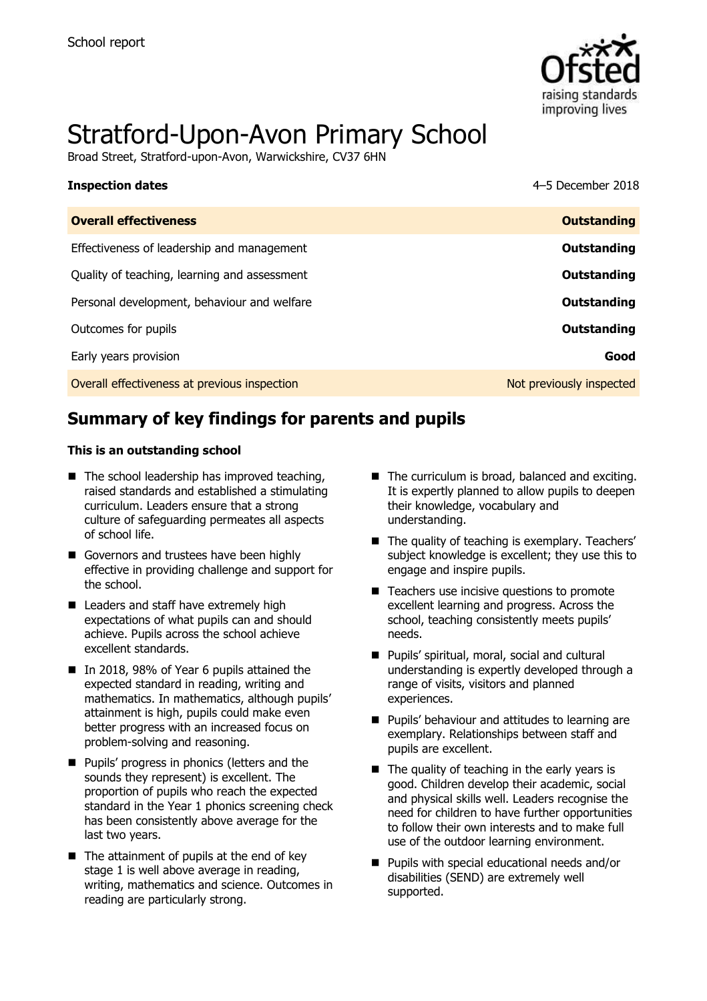

# Stratford-Upon-Avon Primary School

Broad Street, Stratford-upon-Avon, Warwickshire, CV37 6HN

| <b>Inspection dates</b>                      | 4-5 December 2018        |
|----------------------------------------------|--------------------------|
| <b>Overall effectiveness</b>                 | <b>Outstanding</b>       |
| Effectiveness of leadership and management   | Outstanding              |
| Quality of teaching, learning and assessment | Outstanding              |
| Personal development, behaviour and welfare  | Outstanding              |
| Outcomes for pupils                          | Outstanding              |
| Early years provision                        | Good                     |
| Overall effectiveness at previous inspection | Not previously inspected |

# **Summary of key findings for parents and pupils**

#### **This is an outstanding school**

- $\blacksquare$  The school leadership has improved teaching, raised standards and established a stimulating curriculum. Leaders ensure that a strong culture of safeguarding permeates all aspects of school life.
- Governors and trustees have been highly effective in providing challenge and support for the school.
- Leaders and staff have extremely high expectations of what pupils can and should achieve. Pupils across the school achieve excellent standards.
- In 2018, 98% of Year 6 pupils attained the expected standard in reading, writing and mathematics. In mathematics, although pupils' attainment is high, pupils could make even better progress with an increased focus on problem-solving and reasoning.
- **Pupils' progress in phonics (letters and the** sounds they represent) is excellent. The proportion of pupils who reach the expected standard in the Year 1 phonics screening check has been consistently above average for the last two years.
- $\blacksquare$  The attainment of pupils at the end of key stage 1 is well above average in reading, writing, mathematics and science. Outcomes in reading are particularly strong.
- The curriculum is broad, balanced and exciting. It is expertly planned to allow pupils to deepen their knowledge, vocabulary and understanding.
- The quality of teaching is exemplary. Teachers' subject knowledge is excellent; they use this to engage and inspire pupils.
- Teachers use incisive questions to promote excellent learning and progress. Across the school, teaching consistently meets pupils' needs.
- **Pupils' spiritual, moral, social and cultural** understanding is expertly developed through a range of visits, visitors and planned experiences.
- **Pupils' behaviour and attitudes to learning are** exemplary. Relationships between staff and pupils are excellent.
- $\blacksquare$  The quality of teaching in the early years is good. Children develop their academic, social and physical skills well. Leaders recognise the need for children to have further opportunities to follow their own interests and to make full use of the outdoor learning environment.
- Pupils with special educational needs and/or disabilities (SEND) are extremely well supported.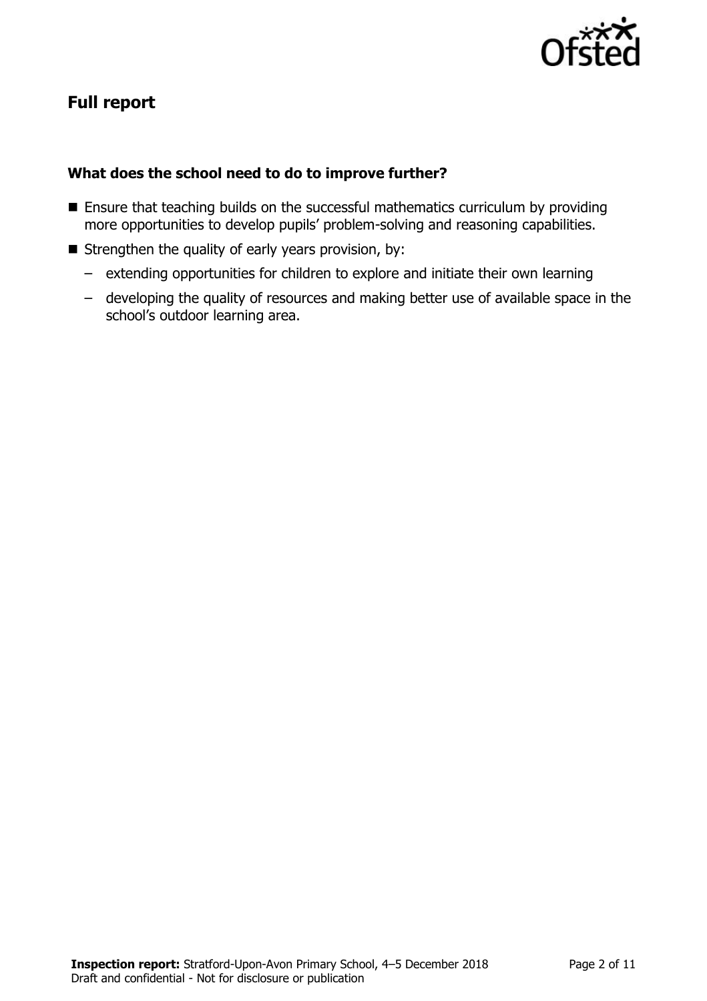

# **Full report**

### **What does the school need to do to improve further?**

- **Ensure that teaching builds on the successful mathematics curriculum by providing** more opportunities to develop pupils' problem-solving and reasoning capabilities.
- $\blacksquare$  Strengthen the quality of early years provision, by:
	- extending opportunities for children to explore and initiate their own learning
	- developing the quality of resources and making better use of available space in the school's outdoor learning area.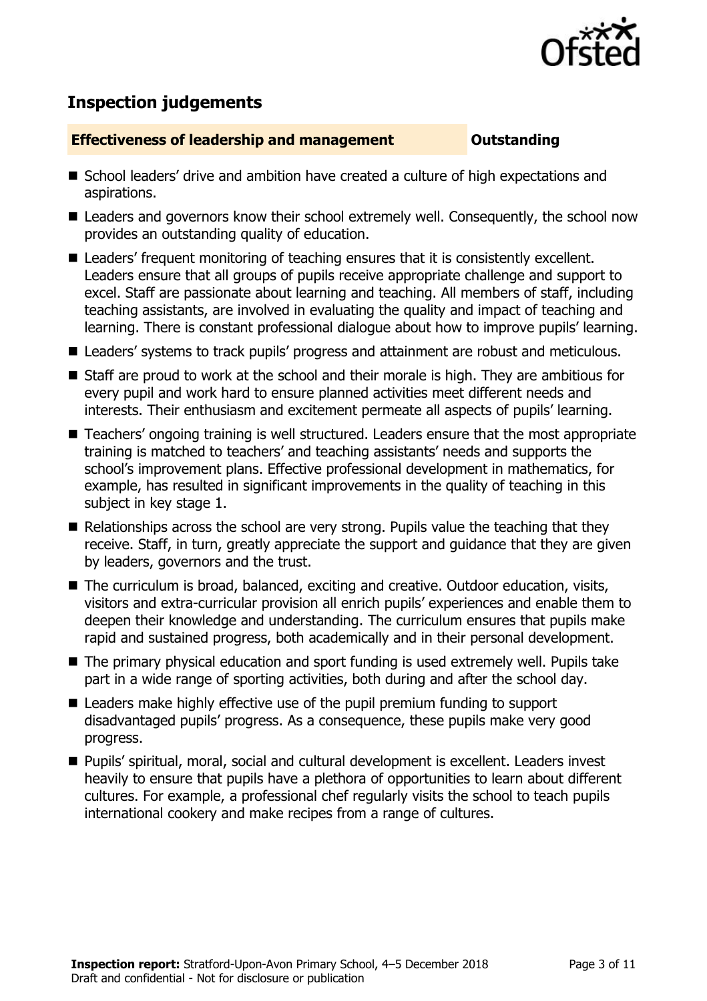

# **Inspection judgements**

#### **Effectiveness of leadership and management COULDER COULDER OUTSTANDING**

- School leaders' drive and ambition have created a culture of high expectations and aspirations.
- Leaders and governors know their school extremely well. Consequently, the school now provides an outstanding quality of education.
- Leaders' frequent monitoring of teaching ensures that it is consistently excellent. Leaders ensure that all groups of pupils receive appropriate challenge and support to excel. Staff are passionate about learning and teaching. All members of staff, including teaching assistants, are involved in evaluating the quality and impact of teaching and learning. There is constant professional dialogue about how to improve pupils' learning.
- Leaders' systems to track pupils' progress and attainment are robust and meticulous.
- Staff are proud to work at the school and their morale is high. They are ambitious for every pupil and work hard to ensure planned activities meet different needs and interests. Their enthusiasm and excitement permeate all aspects of pupils' learning.
- Teachers' ongoing training is well structured. Leaders ensure that the most appropriate training is matched to teachers' and teaching assistants' needs and supports the school's improvement plans. Effective professional development in mathematics, for example, has resulted in significant improvements in the quality of teaching in this subject in key stage 1.
- Relationships across the school are very strong. Pupils value the teaching that they receive. Staff, in turn, greatly appreciate the support and guidance that they are given by leaders, governors and the trust.
- The curriculum is broad, balanced, exciting and creative. Outdoor education, visits, visitors and extra-curricular provision all enrich pupils' experiences and enable them to deepen their knowledge and understanding. The curriculum ensures that pupils make rapid and sustained progress, both academically and in their personal development.
- The primary physical education and sport funding is used extremely well. Pupils take part in a wide range of sporting activities, both during and after the school day.
- Leaders make highly effective use of the pupil premium funding to support disadvantaged pupils' progress. As a consequence, these pupils make very good progress.
- Pupils' spiritual, moral, social and cultural development is excellent. Leaders invest heavily to ensure that pupils have a plethora of opportunities to learn about different cultures. For example, a professional chef regularly visits the school to teach pupils international cookery and make recipes from a range of cultures.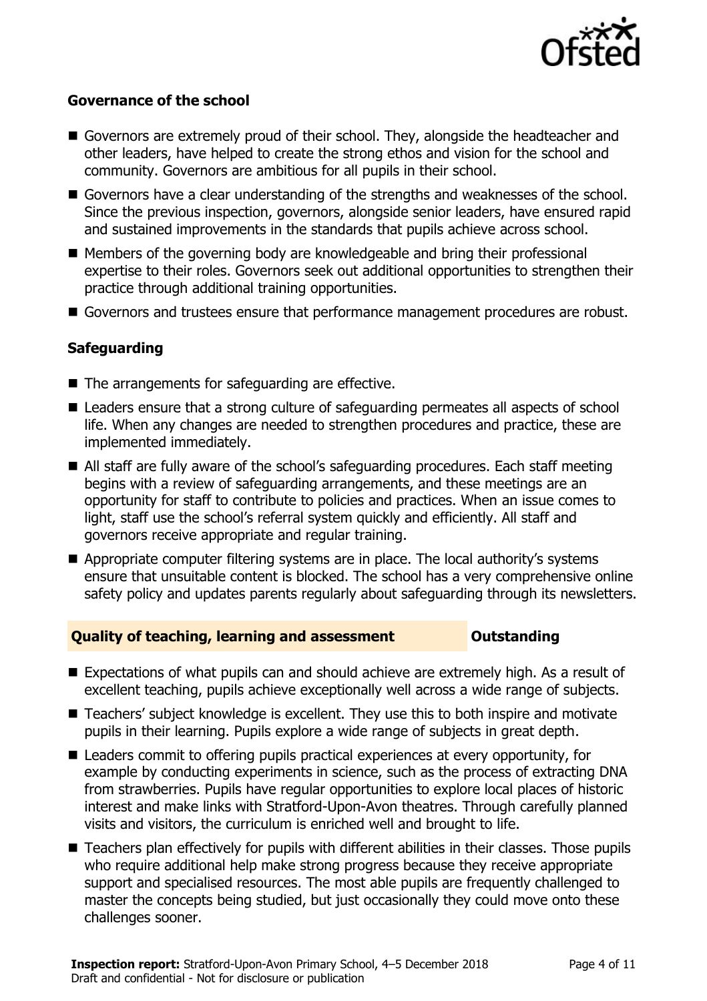

#### **Governance of the school**

- Governors are extremely proud of their school. They, alongside the headteacher and other leaders, have helped to create the strong ethos and vision for the school and community. Governors are ambitious for all pupils in their school.
- Governors have a clear understanding of the strengths and weaknesses of the school. Since the previous inspection, governors, alongside senior leaders, have ensured rapid and sustained improvements in the standards that pupils achieve across school.
- Members of the governing body are knowledgeable and bring their professional expertise to their roles. Governors seek out additional opportunities to strengthen their practice through additional training opportunities.
- Governors and trustees ensure that performance management procedures are robust.

### **Safeguarding**

- The arrangements for safeguarding are effective.
- Leaders ensure that a strong culture of safeguarding permeates all aspects of school life. When any changes are needed to strengthen procedures and practice, these are implemented immediately.
- All staff are fully aware of the school's safeguarding procedures. Each staff meeting begins with a review of safeguarding arrangements, and these meetings are an opportunity for staff to contribute to policies and practices. When an issue comes to light, staff use the school's referral system quickly and efficiently. All staff and governors receive appropriate and regular training.
- Appropriate computer filtering systems are in place. The local authority's systems ensure that unsuitable content is blocked. The school has a very comprehensive online safety policy and updates parents regularly about safeguarding through its newsletters.

### **Quality of teaching, learning and assessment Outstanding**

- Expectations of what pupils can and should achieve are extremely high. As a result of excellent teaching, pupils achieve exceptionally well across a wide range of subjects.
- Teachers' subject knowledge is excellent. They use this to both inspire and motivate pupils in their learning. Pupils explore a wide range of subjects in great depth.
- Leaders commit to offering pupils practical experiences at every opportunity, for example by conducting experiments in science, such as the process of extracting DNA from strawberries. Pupils have regular opportunities to explore local places of historic interest and make links with Stratford-Upon-Avon theatres. Through carefully planned visits and visitors, the curriculum is enriched well and brought to life.
- Teachers plan effectively for pupils with different abilities in their classes. Those pupils who require additional help make strong progress because they receive appropriate support and specialised resources. The most able pupils are frequently challenged to master the concepts being studied, but just occasionally they could move onto these challenges sooner.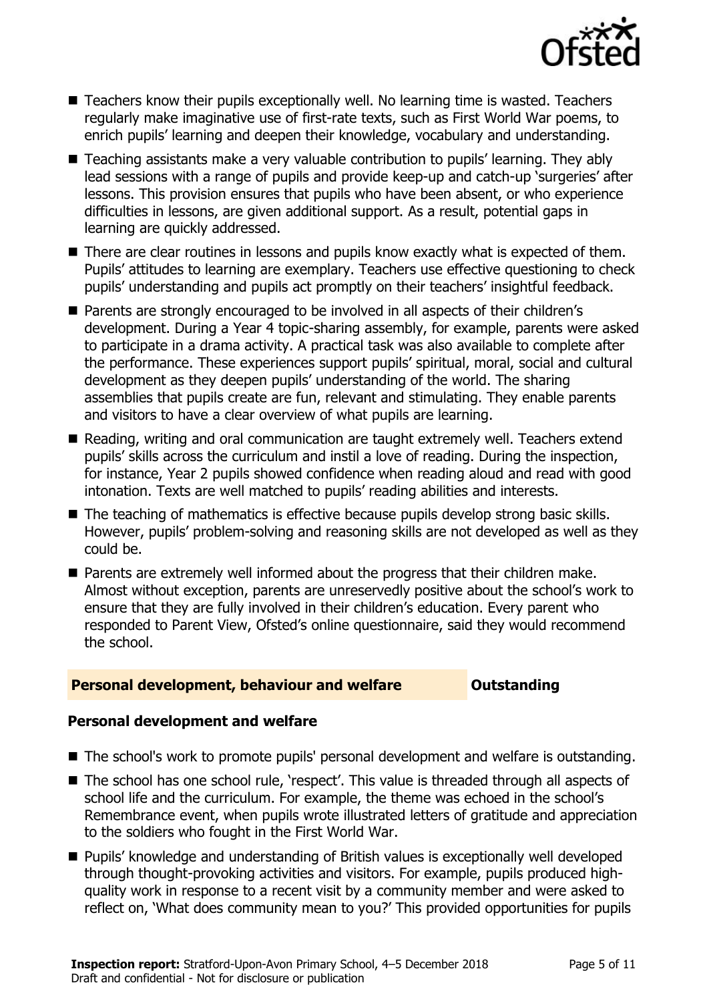

- Teachers know their pupils exceptionally well. No learning time is wasted. Teachers regularly make imaginative use of first-rate texts, such as First World War poems, to enrich pupils' learning and deepen their knowledge, vocabulary and understanding.
- Teaching assistants make a very valuable contribution to pupils' learning. They ably lead sessions with a range of pupils and provide keep-up and catch-up 'surgeries' after lessons. This provision ensures that pupils who have been absent, or who experience difficulties in lessons, are given additional support. As a result, potential gaps in learning are quickly addressed.
- There are clear routines in lessons and pupils know exactly what is expected of them. Pupils' attitudes to learning are exemplary. Teachers use effective questioning to check pupils' understanding and pupils act promptly on their teachers' insightful feedback.
- Parents are strongly encouraged to be involved in all aspects of their children's development. During a Year 4 topic-sharing assembly, for example, parents were asked to participate in a drama activity. A practical task was also available to complete after the performance. These experiences support pupils' spiritual, moral, social and cultural development as they deepen pupils' understanding of the world. The sharing assemblies that pupils create are fun, relevant and stimulating. They enable parents and visitors to have a clear overview of what pupils are learning.
- Reading, writing and oral communication are taught extremely well. Teachers extend pupils' skills across the curriculum and instil a love of reading. During the inspection, for instance, Year 2 pupils showed confidence when reading aloud and read with good intonation. Texts are well matched to pupils' reading abilities and interests.
- The teaching of mathematics is effective because pupils develop strong basic skills. However, pupils' problem-solving and reasoning skills are not developed as well as they could be.
- Parents are extremely well informed about the progress that their children make. Almost without exception, parents are unreservedly positive about the school's work to ensure that they are fully involved in their children's education. Every parent who responded to Parent View, Ofsted's online questionnaire, said they would recommend the school.

### **Personal development, behaviour and welfare <b>COUTS** Outstanding

### **Personal development and welfare**

- The school's work to promote pupils' personal development and welfare is outstanding.
- The school has one school rule, 'respect'. This value is threaded through all aspects of school life and the curriculum. For example, the theme was echoed in the school's Remembrance event, when pupils wrote illustrated letters of gratitude and appreciation to the soldiers who fought in the First World War.
- Pupils' knowledge and understanding of British values is exceptionally well developed through thought-provoking activities and visitors. For example, pupils produced highquality work in response to a recent visit by a community member and were asked to reflect on, 'What does community mean to you?' This provided opportunities for pupils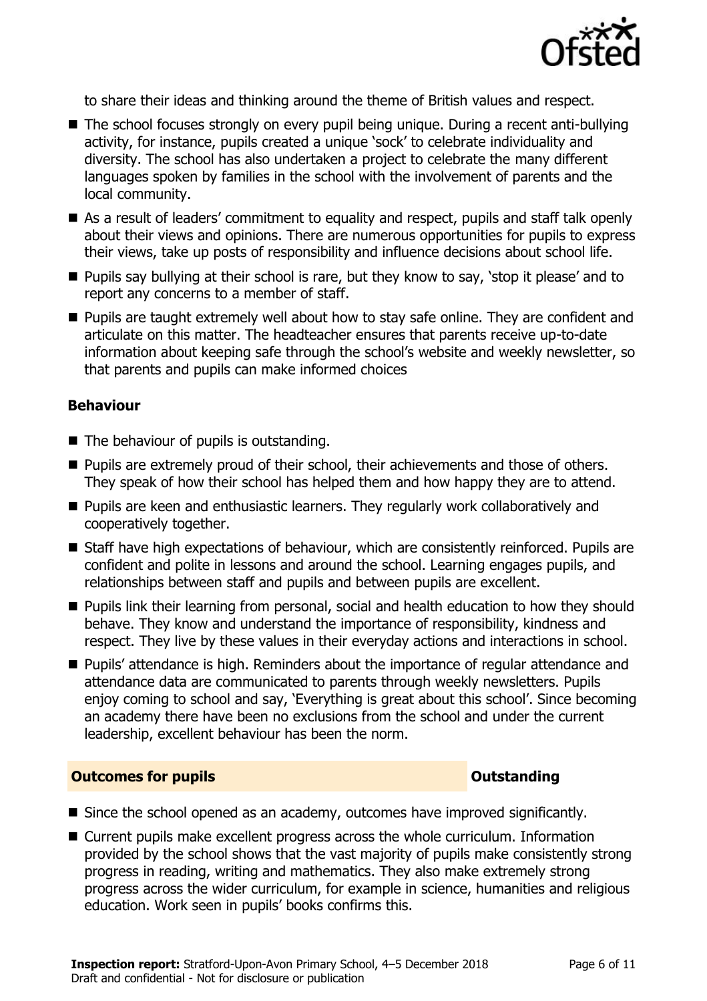

to share their ideas and thinking around the theme of British values and respect.

- The school focuses strongly on every pupil being unique. During a recent anti-bullying activity, for instance, pupils created a unique 'sock' to celebrate individuality and diversity. The school has also undertaken a project to celebrate the many different languages spoken by families in the school with the involvement of parents and the local community.
- As a result of leaders' commitment to equality and respect, pupils and staff talk openly about their views and opinions. There are numerous opportunities for pupils to express their views, take up posts of responsibility and influence decisions about school life.
- **Pupils say bullying at their school is rare, but they know to say, 'stop it please' and to** report any concerns to a member of staff.
- **Pupils are taught extremely well about how to stay safe online. They are confident and** articulate on this matter. The headteacher ensures that parents receive up-to-date information about keeping safe through the school's website and weekly newsletter, so that parents and pupils can make informed choices

#### **Behaviour**

- The behaviour of pupils is outstanding.
- **Pupils are extremely proud of their school, their achievements and those of others.** They speak of how their school has helped them and how happy they are to attend.
- **Pupils are keen and enthusiastic learners. They regularly work collaboratively and** cooperatively together.
- Staff have high expectations of behaviour, which are consistently reinforced. Pupils are confident and polite in lessons and around the school. Learning engages pupils, and relationships between staff and pupils and between pupils are excellent.
- **Pupils link their learning from personal, social and health education to how they should** behave. They know and understand the importance of responsibility, kindness and respect. They live by these values in their everyday actions and interactions in school.
- Pupils' attendance is high. Reminders about the importance of regular attendance and attendance data are communicated to parents through weekly newsletters. Pupils enjoy coming to school and say, 'Everything is great about this school'. Since becoming an academy there have been no exclusions from the school and under the current leadership, excellent behaviour has been the norm.

#### **Outcomes for pupils Outstanding**

- Since the school opened as an academy, outcomes have improved significantly.
- Current pupils make excellent progress across the whole curriculum. Information provided by the school shows that the vast majority of pupils make consistently strong progress in reading, writing and mathematics. They also make extremely strong progress across the wider curriculum, for example in science, humanities and religious education. Work seen in pupils' books confirms this.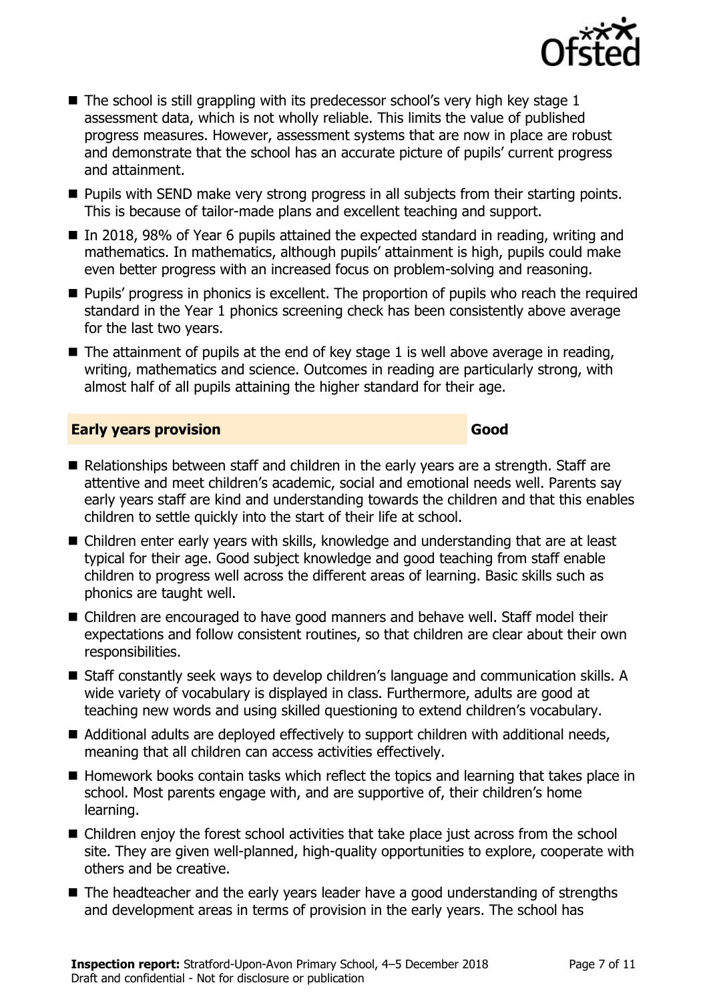

- $\blacksquare$  The school is still grappling with its predecessor school's very high key stage 1 assessment data, which is not wholly reliable. This limits the value of published progress measures. However, assessment systems that are now in place are robust and demonstrate that the school has an accurate picture of pupils' current progress and attainment.
- **Pupils with SEND make very strong progress in all subjects from their starting points.** This is because of tailor-made plans and excellent teaching and support.
- In 2018, 98% of Year 6 pupils attained the expected standard in reading, writing and mathematics. In mathematics, although pupils' attainment is high, pupils could make even better progress with an increased focus on problem-solving and reasoning.
- **Pupils' progress in phonics is excellent. The proportion of pupils who reach the required** standard in the Year 1 phonics screening check has been consistently above average for the last two years.
- $\blacksquare$  The attainment of pupils at the end of key stage 1 is well above average in reading, writing, mathematics and science. Outcomes in reading are particularly strong, with almost half of all pupils attaining the higher standard for their age.

#### **Early years provision Good Good**

- Relationships between staff and children in the early years are a strength. Staff are attentive and meet children's academic, social and emotional needs well. Parents say early years staff are kind and understanding towards the children and that this enables children to settle quickly into the start of their life at school.
- Children enter early years with skills, knowledge and understanding that are at least typical for their age. Good subject knowledge and good teaching from staff enable children to progress well across the different areas of learning. Basic skills such as phonics are taught well.
- Children are encouraged to have good manners and behave well. Staff model their expectations and follow consistent routines, so that children are clear about their own responsibilities.
- Staff constantly seek ways to develop children's language and communication skills. A wide variety of vocabulary is displayed in class. Furthermore, adults are good at teaching new words and using skilled questioning to extend children's vocabulary.
- Additional adults are deployed effectively to support children with additional needs, meaning that all children can access activities effectively.
- Homework books contain tasks which reflect the topics and learning that takes place in school. Most parents engage with, and are supportive of, their children's home learning.
- Children enjoy the forest school activities that take place just across from the school site. They are given well-planned, high-quality opportunities to explore, cooperate with others and be creative.
- The headteacher and the early years leader have a good understanding of strengths and development areas in terms of provision in the early years. The school has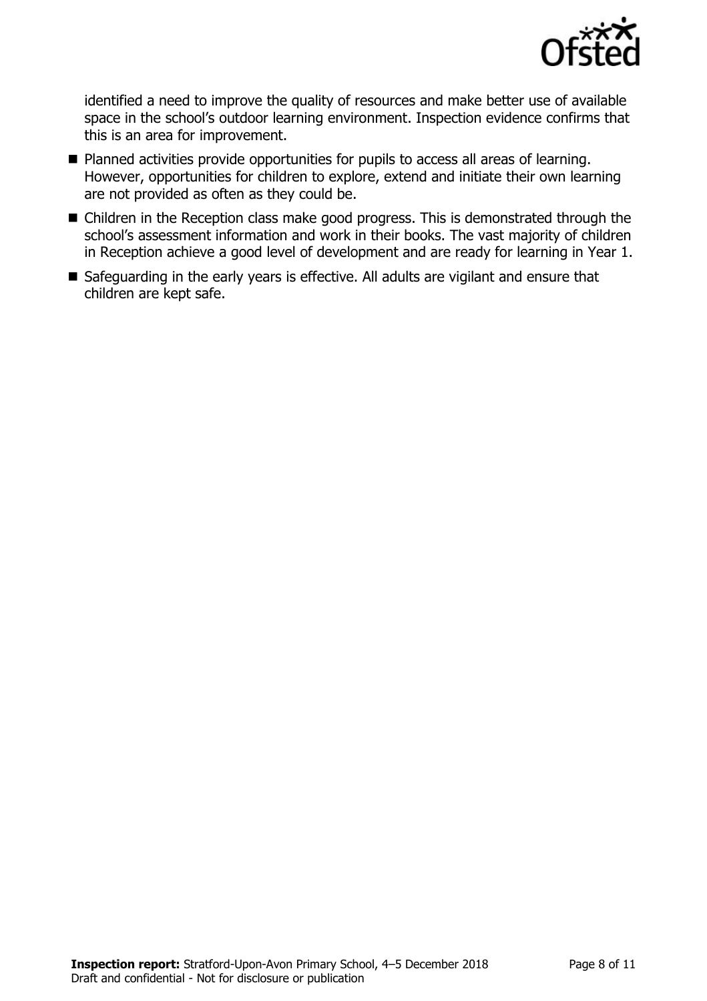

identified a need to improve the quality of resources and make better use of available space in the school's outdoor learning environment. Inspection evidence confirms that this is an area for improvement.

- Planned activities provide opportunities for pupils to access all areas of learning. However, opportunities for children to explore, extend and initiate their own learning are not provided as often as they could be.
- Children in the Reception class make good progress. This is demonstrated through the school's assessment information and work in their books. The vast majority of children in Reception achieve a good level of development and are ready for learning in Year 1.
- Safeguarding in the early years is effective. All adults are vigilant and ensure that children are kept safe.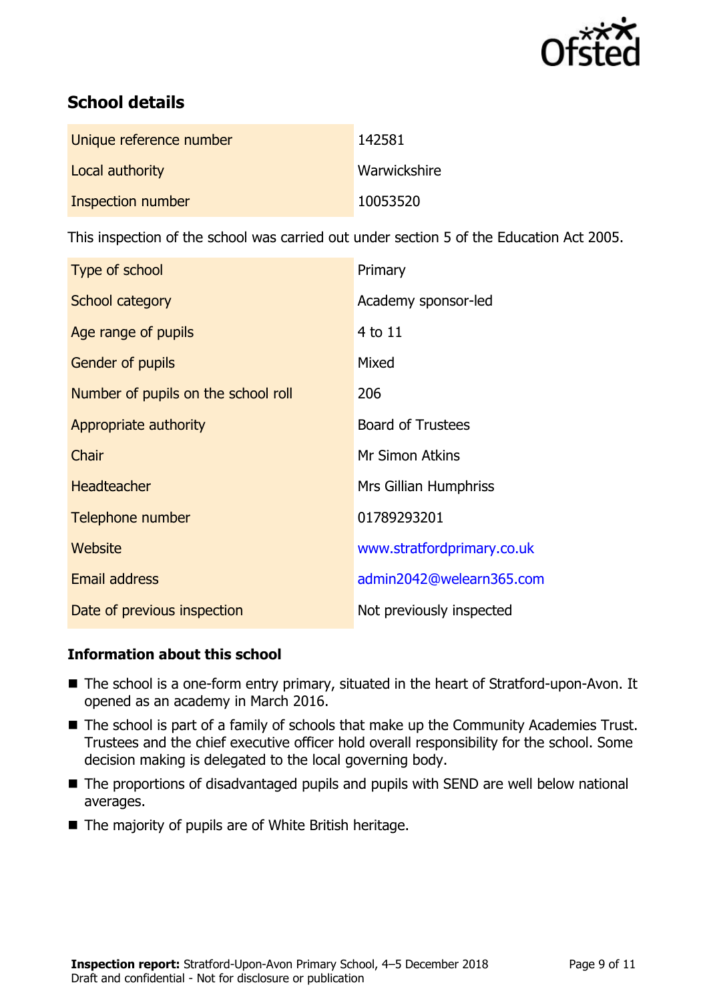

# **School details**

| Unique reference number | 142581       |
|-------------------------|--------------|
| Local authority         | Warwickshire |
| Inspection number       | 10053520     |

This inspection of the school was carried out under section 5 of the Education Act 2005.

| Type of school                      | Primary                    |
|-------------------------------------|----------------------------|
| School category                     | Academy sponsor-led        |
| Age range of pupils                 | 4 to 11                    |
| Gender of pupils                    | Mixed                      |
| Number of pupils on the school roll | 206                        |
| Appropriate authority               | <b>Board of Trustees</b>   |
| Chair                               | Mr Simon Atkins            |
| <b>Headteacher</b>                  | Mrs Gillian Humphriss      |
| Telephone number                    | 01789293201                |
| Website                             | www.stratfordprimary.co.uk |
| <b>Email address</b>                | admin2042@welearn365.com   |
| Date of previous inspection         | Not previously inspected   |

### **Information about this school**

- The school is a one-form entry primary, situated in the heart of Stratford-upon-Avon. It opened as an academy in March 2016.
- The school is part of a family of schools that make up the Community Academies Trust. Trustees and the chief executive officer hold overall responsibility for the school. Some decision making is delegated to the local governing body.
- The proportions of disadvantaged pupils and pupils with SEND are well below national averages.
- $\blacksquare$  The majority of pupils are of White British heritage.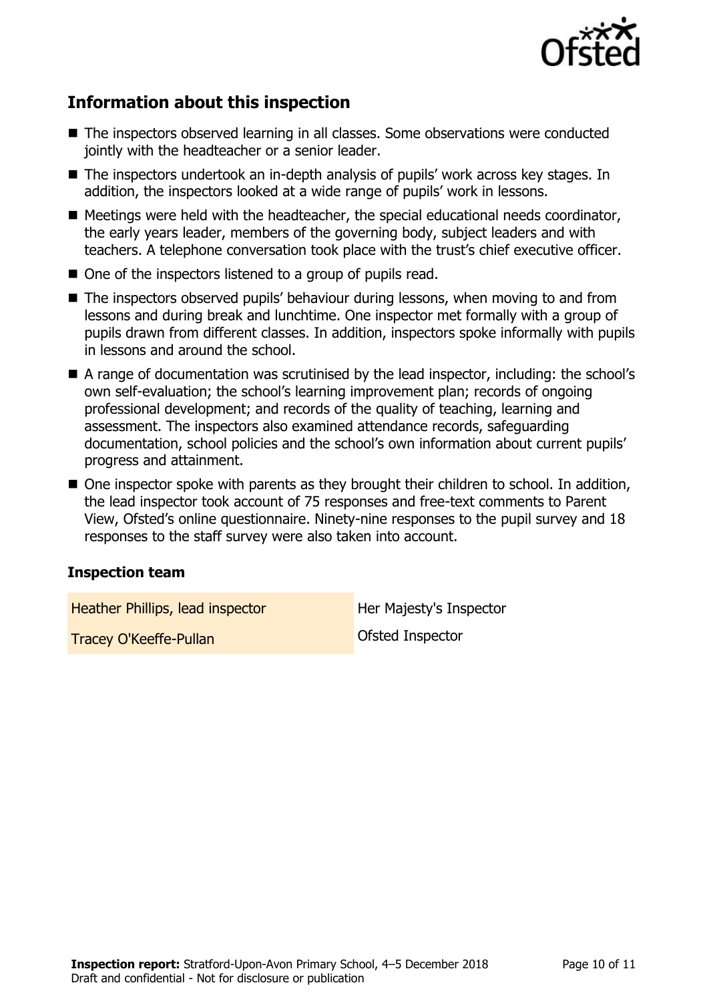

# **Information about this inspection**

- The inspectors observed learning in all classes. Some observations were conducted jointly with the headteacher or a senior leader.
- The inspectors undertook an in-depth analysis of pupils' work across key stages. In addition, the inspectors looked at a wide range of pupils' work in lessons.
- Meetings were held with the headteacher, the special educational needs coordinator, the early years leader, members of the governing body, subject leaders and with teachers. A telephone conversation took place with the trust's chief executive officer.
- One of the inspectors listened to a group of pupils read.
- The inspectors observed pupils' behaviour during lessons, when moving to and from lessons and during break and lunchtime. One inspector met formally with a group of pupils drawn from different classes. In addition, inspectors spoke informally with pupils in lessons and around the school.
- A range of documentation was scrutinised by the lead inspector, including: the school's own self-evaluation; the school's learning improvement plan; records of ongoing professional development; and records of the quality of teaching, learning and assessment. The inspectors also examined attendance records, safeguarding documentation, school policies and the school's own information about current pupils' progress and attainment.
- One inspector spoke with parents as they brought their children to school. In addition, the lead inspector took account of 75 responses and free-text comments to Parent View, Ofsted's online questionnaire. Ninety-nine responses to the pupil survey and 18 responses to the staff survey were also taken into account.

### **Inspection team**

Heather Phillips, lead inspector **Heather Phillips**, lead inspector

Tracey O'Keeffe-Pullan and Contact Contact Ofsted Inspector